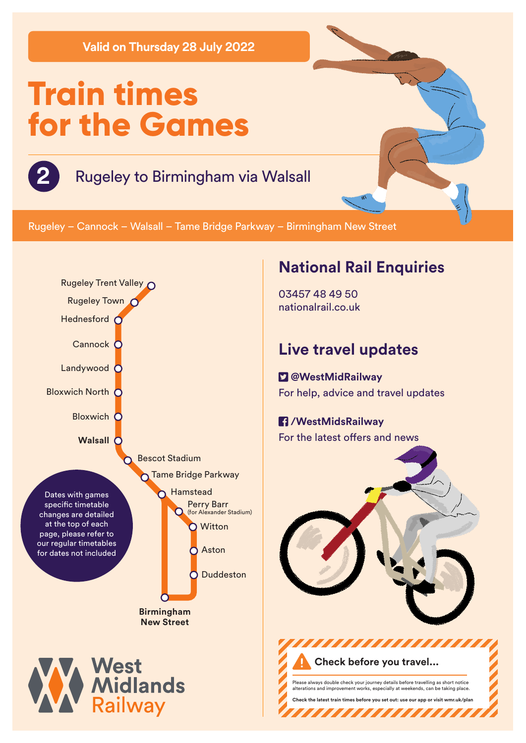**Valid on Thursday 28 July 2022**

# **Train times for the Games**

## **2** Rugeley to Birmingham via Walsall

Rugeley – Cannock – Walsall – Tame Bridge Parkway – Birmingham New Street



### **National Rail Enquiries**

03457 48 49 50 nationalrail.co.uk

### **Live travel updates**

 **@WestMidRailway** For help, advice and travel updates

#### **/WestMidsRailway** For the latest offers and news



Please always double check your journey details before travelling as short notice alterations and improvement works, especially at weekends, can be taking place. **Check the latest train times before you set out: use our app or visit wmr.uk/plan** 

,,,,,,,,,,,,,

**Check before you travel...**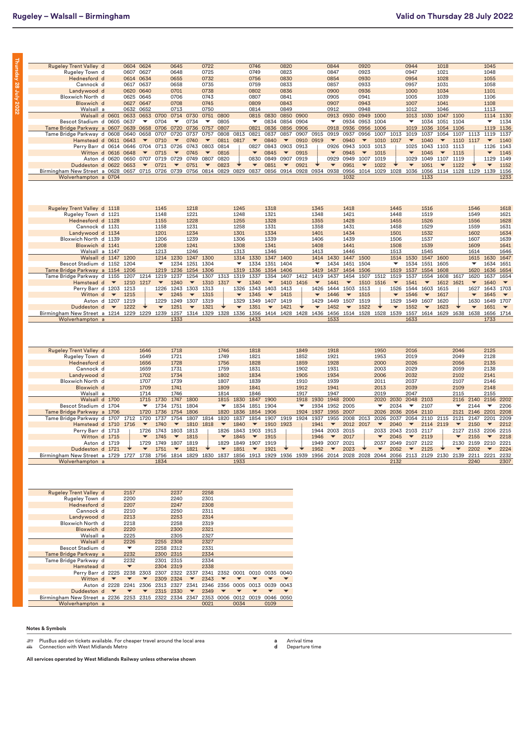**Thursday 28 July 2022**

Thursday 28 July 2022

| <b>Rugeley Trent Valley d</b>                                            |          |                          | 0604                     | 0624                     |                          | 0645                     |                          | 0722                                  |                          |                          | 0746                     |                          | 0820                     |                          |                          | 0844                     |                          | 0920                     |                          |                          | 0944                     |                          | 1018                     |                          |                          | 1045                     |                          |
|--------------------------------------------------------------------------|----------|--------------------------|--------------------------|--------------------------|--------------------------|--------------------------|--------------------------|---------------------------------------|--------------------------|--------------------------|--------------------------|--------------------------|--------------------------|--------------------------|--------------------------|--------------------------|--------------------------|--------------------------|--------------------------|--------------------------|--------------------------|--------------------------|--------------------------|--------------------------|--------------------------|--------------------------|--------------------------|
| Rugeley Town d                                                           |          |                          |                          | 0607 0627                |                          | 0648                     |                          | 0725                                  |                          |                          | 0749                     |                          | 0823                     |                          |                          | 0847                     |                          | 0923                     |                          |                          | 0947                     |                          | 1021                     |                          |                          | 1048                     |                          |
| Hednesford d                                                             |          |                          |                          | 0614 0634                |                          | 0655                     |                          | 0732                                  |                          |                          | 0756                     |                          | 0830                     |                          |                          | 0854                     |                          | 0930                     |                          |                          | 0954                     |                          | 1028                     |                          |                          | 1055                     |                          |
| Cannock d                                                                |          |                          |                          | 0617 0637                |                          | 0658                     |                          | 0735                                  |                          |                          | 0759                     |                          | 0833                     |                          |                          | 0857                     |                          | 0933                     |                          |                          | 0957                     |                          | 1031                     |                          |                          | 1058                     |                          |
| Landywood d                                                              |          |                          | 0620                     | 0640                     |                          | 0701                     |                          | 0738                                  |                          |                          | 0802                     |                          | 0836                     |                          |                          | 0900                     |                          | 0936                     |                          |                          | 1000                     |                          | 1034                     |                          |                          | 1101                     |                          |
| Bloxwich North d                                                         |          |                          | 0625                     | 0645                     |                          | 0706                     |                          | 0743                                  |                          |                          | 0807                     |                          | 0841                     |                          |                          | 0905                     |                          | 0941                     |                          |                          | 1005                     |                          | 1039                     |                          |                          | 1106                     |                          |
|                                                                          |          |                          |                          | 0627 0647                |                          | 0708                     |                          | 0745                                  |                          |                          | 0809                     |                          | 0843                     |                          |                          | 0907                     |                          | 0943                     |                          |                          | 1007                     |                          | 1041                     |                          |                          | 1108                     |                          |
| Bloxwich d                                                               |          |                          |                          |                          |                          |                          |                          |                                       |                          |                          |                          |                          |                          |                          |                          |                          |                          |                          |                          |                          |                          |                          |                          |                          |                          |                          |                          |
| Walsall a                                                                |          |                          | 0632                     | 0652                     |                          | 0713                     |                          | 0750                                  |                          |                          | 0814                     |                          | 0849                     |                          |                          | 0912                     |                          | 0948                     |                          |                          | 1012                     |                          | 1046                     |                          |                          | 1113                     |                          |
|                                                                          |          | Walsall d 0601           | 0633                     | 0653                     | 0700                     | 0714                     | 0730                     | 0751                                  | 0800                     |                          | 0815                     | 0830                     | 0850                     | 0900                     |                          | 0913                     | 0930                     | 0949                     | 1000                     |                          | 1013                     | 1030                     | 1047 1100                |                          |                          | 1114                     | 1130                     |
| Bescot Stadium d 0605 0637                                               |          |                          |                          | $\overline{\phantom{a}}$ | 0704                     | $\overline{\phantom{a}}$ | 0734                     | ▼                                     | 0805                     |                          | ▼                        |                          | 0834 0854 0904           |                          |                          | ▼                        |                          | 0934 0953 1004           |                          |                          | $\overline{\phantom{a}}$ |                          | 1034 1051 1104           |                          |                          | ▼                        | 1134                     |
| Tame Bridge Parkway a 0607                                               |          |                          | 0639                     | 0658                     | 0706                     | 0720                     | 0736                     | 0757                                  | 0807                     |                          | 0821                     |                          | 0836 0856 0906           |                          |                          | 0918                     |                          | 0936 0956                | 1006                     |                          | 1019                     |                          | 1036 1054 1106           |                          |                          | 1119                     | 1136                     |
| Tame Bridge Parkway d 0608                                               |          |                          | 0640                     | 0658                     | 0707                     | 0720                     | 0737                     | 0757                                  | 0808                     | 0813                     | 0821                     | 0837                     | 0857                     | 0907                     | 0915                     | 0919                     | 0937                     | 0956                     | 1007                     | 1013                     | 1019                     | 1037                     | 1054                     | 1107                     | 1113                     | 1119                     | 1137                     |
| Hamstead d 0611                                                          |          |                          | 0643                     | $\blacktriangledown$     | 0710                     | $\overline{\phantom{a}}$ | 0740                     | $\blacktriangledown$                  | 0811                     | 0817                     | $\overline{\phantom{a}}$ | 0840                     | $\overline{\phantom{a}}$ | 0910                     | 0919                     | $\overline{\phantom{a}}$ | 0940                     | $\overline{\phantom{a}}$ | 1010                     | 1017                     | $\blacktriangledown$     | 1040                     | $\blacktriangledown$     | 1110                     | 1117                     | $\overline{\phantom{a}}$ | 1140                     |
| Perry Barr d 0614 0646                                                   |          |                          |                          | 0704                     | 0713                     | 0726                     | 0743                     | 0803                                  | 0814                     |                          | 0827                     | 0843                     | 0903                     | 0913                     |                          | 0926                     | 0943                     | 1003                     | 1013                     |                          | 1025                     | 1043                     | 1103                     | 1113                     |                          | 1126                     | 1143                     |
|                                                                          |          | Witton d 0616            | 0648                     | $\blacktriangledown$     | 0715                     | $\overline{\phantom{a}}$ | 0745                     |                                       | 0816                     |                          | $\overline{\phantom{a}}$ | 0845                     | $\blacktriangledown$     | 0915                     |                          | $\blacktriangledown$     | 0945                     | $\overline{\phantom{a}}$ | 1015                     |                          | $\blacktriangledown$     | 1045                     | $\blacktriangledown$     | 1115                     |                          | $\overline{\phantom{a}}$ | 1145                     |
|                                                                          |          | Aston d 0620             |                          | 0650 0707                | 0719                     | 0729                     | 0749                     | 0807                                  | 0820                     |                          | 0830                     | 0849 0907                |                          | 0919                     |                          | 0929                     |                          | 0949 1007                | 1019                     |                          | 1029                     | 1049 1107                |                          | 1119                     |                          | 1129                     | 1149                     |
| Duddeston d 0622                                                         |          |                          | 0653                     |                          | 0721                     |                          | 0751                     |                                       | 0823                     |                          | ▼                        | 0851                     |                          | 0921                     |                          | $\overline{\phantom{a}}$ | 0951                     | $\blacktriangledown$     | 1022                     |                          | $\overline{\phantom{a}}$ | 1051                     | $\overline{\phantom{a}}$ | 1122                     |                          | $\overline{\phantom{a}}$ | 1152                     |
| Birmingham New Street a 0628                                             |          |                          |                          |                          | 0657 0715 0726 0739      |                          | 0756 0814 0829           |                                       |                          | 0829                     | 0837                     |                          |                          | 0856 0914 0928           | 0934 0938                |                          |                          | 0956 1014 1029           |                          | 1028 1036                |                          |                          |                          | 1056 1114 1128 1129      |                          | 1139                     | 1156                     |
| Wolverhampton a 0704                                                     |          |                          |                          |                          |                          |                          |                          |                                       |                          |                          |                          |                          |                          |                          |                          |                          | 1032                     |                          |                          |                          |                          | 1133                     |                          |                          |                          |                          | 1233                     |
|                                                                          |          |                          |                          |                          |                          |                          |                          |                                       |                          |                          |                          |                          |                          |                          |                          |                          |                          |                          |                          |                          |                          |                          |                          |                          |                          |                          |                          |
|                                                                          |          |                          |                          |                          |                          |                          |                          |                                       |                          |                          |                          |                          |                          |                          |                          |                          |                          |                          |                          |                          |                          |                          |                          |                          |                          |                          |                          |
|                                                                          |          |                          |                          |                          |                          |                          |                          |                                       |                          |                          |                          |                          |                          |                          |                          |                          |                          |                          |                          |                          |                          |                          |                          |                          |                          |                          |                          |
|                                                                          |          |                          |                          |                          |                          |                          |                          |                                       |                          |                          |                          |                          |                          |                          |                          |                          |                          |                          |                          |                          |                          |                          |                          |                          |                          |                          |                          |
| Rugeley Trent Valley d 1118                                              |          |                          |                          |                          | 1145                     |                          | 1218                     |                                       |                          | 1245                     |                          | 1318                     |                          |                          | 1345                     |                          | 1418                     |                          |                          | 1445                     |                          | 1516                     |                          |                          | 1546                     |                          | 1618                     |
| Rugeley Town d 1121                                                      |          |                          |                          |                          | 1148                     |                          | 1221                     |                                       |                          | 1248                     |                          | 1321                     |                          |                          | 1348                     |                          | 1421                     |                          |                          | 1448                     |                          | 1519                     |                          |                          | 1549                     |                          | 1621                     |
| Hednesford d 1128                                                        |          |                          |                          |                          | 1155                     |                          | 1228                     |                                       |                          | 1255                     |                          | 1328                     |                          |                          | 1355                     |                          | 1428                     |                          |                          | 1455                     |                          | 1526                     |                          |                          | 1556                     |                          | 1628                     |
| Cannock d 1131                                                           |          |                          |                          |                          | 1158                     |                          | 1231                     |                                       |                          | 1258                     |                          | 1331                     |                          |                          | 1358                     |                          | 1431                     |                          |                          | 1458                     |                          | 1529                     |                          |                          | 1559                     |                          | 1631                     |
|                                                                          |          |                          |                          |                          | 1201                     |                          | 1234                     |                                       |                          | 1301                     |                          | 1334                     |                          |                          | 1401                     |                          | 1434                     |                          |                          | 1501                     |                          | 1532                     |                          |                          | 1602                     |                          | 1634                     |
| Landywood d 1134                                                         |          |                          |                          |                          |                          |                          |                          |                                       |                          |                          |                          |                          |                          |                          |                          |                          |                          |                          |                          |                          |                          |                          |                          |                          |                          |                          |                          |
| Bloxwich North d 1139                                                    |          |                          |                          |                          | 1206                     |                          | 1239                     |                                       |                          | 1306                     |                          | 1339                     |                          |                          | 1406                     |                          | 1439                     |                          |                          | 1506                     |                          | 1537                     |                          |                          | 1607                     |                          | 1639                     |
| Bloxwich d 1141                                                          |          |                          |                          |                          | 1208                     |                          | 1241                     |                                       |                          | 1308                     |                          | 1341                     |                          |                          | 1408                     |                          | 1441                     |                          |                          | 1508                     |                          | 1539                     |                          |                          | 1609                     |                          | 1641                     |
|                                                                          |          | Walsall a 1147           |                          |                          | 1213                     |                          | 1246                     |                                       |                          | 1313                     |                          | 1346                     |                          |                          | 1413                     |                          | 1446                     |                          |                          | 1513                     |                          | 1545                     |                          |                          | 1614                     |                          | 1646                     |
|                                                                          |          | Walsall d 1147 1200      |                          |                          |                          | 1214 1230                | 1247 1300                |                                       |                          |                          | 1314 1330                | 1347 1400                |                          |                          |                          | 1414 1430                | 1447 1500                |                          |                          |                          | 1514 1530                | 1547 1600                |                          |                          | 1615                     | 1630                     | 1647                     |
| Bescot Stadium d 1152                                                    |          |                          | 1204                     |                          | ▼                        | 1234                     | 1251                     | 1304                                  |                          | ▼                        | 1334                     | 1351                     | 1404                     |                          | ▼                        | 1434                     | 1451                     | 1504                     |                          | ▼                        | 1534                     | 1551                     | 1605                     |                          | ▼                        | 1634                     | 1651                     |
| Tame Bridge Parkway a 1154 1206                                          |          |                          |                          |                          | 1219                     | 1236                     | 1254 1306                |                                       |                          | 1319                     | 1336                     | 1354 1406                |                          |                          | 1419                     | 1437                     | 1454 1506                |                          |                          | 1519                     | 1537                     | 1554 1608                |                          |                          | 1620                     | 1636                     | 1654                     |
| Tame Bridge Parkway d 1155                                               |          |                          | 1207                     | 1214                     | 1219                     | 1237                     | 1254                     | 1307                                  | 1313                     | 1319                     | 1337                     | 1354                     | 1407                     | 1412                     | 1419                     | 1437                     | 1454                     | 1507                     | 1512                     | 1519                     | 1537                     | 1554                     | 1608                     | 1617                     | 1620                     | 1637                     | 1654                     |
| Hamstead d $\blacktriangledown$                                          |          |                          | 1210                     | 1217                     | $\overline{\phantom{a}}$ | 1240                     | $\overline{\phantom{a}}$ | 1310                                  | 1317                     | $\overline{\phantom{a}}$ | 1340                     | $\overline{\phantom{a}}$ | 1410                     | 1416                     | $\overline{\phantom{a}}$ | 1441                     | $\overline{\phantom{a}}$ | 1510                     | 1516                     | $\overline{\phantom{a}}$ | 1541                     | $\overline{\phantom{a}}$ | 1612                     | 1621                     | $\overline{\phantom{a}}$ | 1640                     | $\blacktriangledown$     |
|                                                                          |          |                          |                          |                          |                          |                          |                          |                                       |                          |                          |                          |                          |                          |                          |                          |                          |                          |                          |                          |                          |                          | 1603 1615                |                          |                          |                          |                          |                          |
| Perry Barr d 1203 1213                                                   |          |                          |                          |                          | 1226                     | 1243                     | 1303 1313                |                                       |                          | 1326                     | 1343                     | 1403                     | 1413                     |                          | 1426                     | 1444                     | 1503 1513                |                          |                          | 1526                     | 1544                     |                          |                          |                          | 1627                     | 1643                     | 1703                     |
|                                                                          | Witton d | $\overline{\phantom{a}}$ | 1215                     |                          |                          | 1245                     |                          | 1315                                  |                          |                          | 1345                     |                          | 1415                     |                          |                          | 1446                     |                          | 1515                     |                          | $\overline{\phantom{a}}$ | 1546                     | $\overline{\phantom{a}}$ | 1617                     |                          | $\overline{\phantom{a}}$ | 1645                     | $\overline{\phantom{a}}$ |
|                                                                          |          | Aston d 1207             | 1219                     |                          | 1229                     | 1249                     | 1307                     | 1319                                  |                          | 1329                     | 1349                     | 1407                     | 1419                     |                          | 1429                     | 1449                     | 1507                     | 1519                     |                          | 1529                     | 1549                     | 1607                     | 1620                     |                          | 1630                     | 1649                     | 1707                     |
| Duddeston d                                                              |          | $\blacktriangledown$     | 1222                     |                          |                          | 1251                     | $\blacktriangledown$     | 1321                                  |                          |                          | 1351                     | $\overline{\phantom{a}}$ | 1421                     |                          |                          | 1452                     | $\blacktriangledown$     | 1522                     |                          |                          | 1552                     | ▼                        | 1623                     |                          |                          | 1651                     | $\overline{\phantom{a}}$ |
| Birmingham New Street a 1214 1229 1229 1239                              |          |                          |                          |                          |                          | 1257                     | 1314 1329                |                                       | 1328 1336 1356           |                          |                          | 1414 1428                |                          | 1428 1436 1456           |                          |                          | 1514 1528                |                          | 1528 1539                |                          | 1557                     | 1614 1629                |                          | 1638 1638 1656           |                          |                          | 1714                     |
| Wolverhampton a                                                          |          |                          |                          |                          |                          | 1333                     |                          |                                       |                          |                          | 1433                     |                          |                          |                          |                          | 1533                     |                          |                          |                          |                          | 1633                     |                          |                          |                          |                          | 1733                     |                          |
|                                                                          |          |                          |                          |                          |                          |                          |                          |                                       |                          |                          |                          |                          |                          |                          |                          |                          |                          |                          |                          |                          |                          |                          |                          |                          |                          |                          |                          |
|                                                                          |          |                          |                          |                          |                          |                          |                          |                                       |                          |                          |                          |                          |                          |                          |                          |                          |                          |                          |                          |                          |                          |                          |                          |                          |                          |                          |                          |
| <b>Rugeley Trent Valley d</b>                                            |          |                          |                          | 1646                     |                          | 1718                     |                          |                                       | 1746                     |                          | 1818                     |                          |                          | 1849                     |                          | 1918                     |                          |                          | 1950                     |                          | 2016                     |                          |                          | 2046                     |                          | 2125                     |                          |
| Rugeley Town d                                                           |          |                          |                          | 1649                     |                          | 1721                     |                          |                                       | 1749                     |                          | 1821                     |                          |                          | 1852                     |                          | 1921                     |                          |                          | 1953                     |                          | 2019                     |                          |                          | 2049                     |                          | 2128                     |                          |
| Hednesford d                                                             |          |                          |                          | 1656                     |                          | 1728                     |                          |                                       | 1756                     |                          | 1828                     |                          |                          | 1859                     |                          | 1928                     |                          |                          | 2000                     |                          | 2026                     |                          |                          | 2056                     |                          | 2135                     |                          |
| Cannock d                                                                |          |                          |                          | 1659                     |                          | 1731                     |                          |                                       | 1759                     |                          | 1831                     |                          |                          | 1902                     |                          | 1931                     |                          |                          | 2003                     |                          | 2029                     |                          |                          | 2059                     |                          | 2138                     |                          |
| Landywood d                                                              |          |                          |                          | 1702                     |                          | 1734                     |                          |                                       | 1802                     |                          | 1834                     |                          |                          | 1905                     |                          | 1934                     |                          |                          | 2006                     |                          | 2032                     |                          |                          | 2102                     |                          | 2141                     |                          |
| Bloxwich North d                                                         |          |                          |                          | 1707                     |                          | 1739                     |                          |                                       | 1807                     |                          | 1839                     |                          |                          | 1910                     |                          | 1939                     |                          |                          | 2011                     |                          | 2037                     |                          |                          | 2107                     |                          | 2146                     |                          |
| Bloxwich d                                                               |          |                          |                          | 1709                     |                          | 1741                     |                          |                                       | 1809                     |                          | 1841                     |                          |                          | 1912                     |                          | 1941                     |                          |                          | 2013                     |                          | 2039                     |                          |                          | 2109                     |                          | 2148                     |                          |
| Walsall a                                                                |          |                          |                          | 1714                     |                          | 1746                     |                          |                                       | 1814                     |                          | 1846                     |                          |                          | 1917                     |                          | 1947                     |                          |                          | 2019                     |                          | 2047                     |                          |                          | 2115                     |                          | 2155                     |                          |
|                                                                          |          | Walsall d 1700           |                          | 1715                     | 1730                     | 1747                     | 1800                     |                                       | 1815                     | 1830                     | 1847                     | 1900                     |                          | 1918                     | 1930                     | 1948                     | 2000                     |                          | 2020                     | 2030                     | 2048                     | 2103                     |                          | 2116                     | 2140                     | 2156                     | 2202                     |
| Bescot Stadium d 1704                                                    |          |                          |                          | ▼                        | 1734 1751                |                          | 1804                     |                                       | ▼                        | 1834 1851                |                          | 1904                     |                          | $\overline{\phantom{a}}$ |                          | 1934 1952                | 2005                     |                          | ▼                        | 2034                     | $\overline{\phantom{a}}$ | 2107                     |                          | ▼                        | 2144                     | $\overline{\phantom{a}}$ | 2206                     |
|                                                                          |          |                          |                          |                          |                          |                          |                          |                                       |                          |                          |                          |                          |                          |                          |                          |                          |                          |                          |                          |                          |                          |                          |                          |                          |                          |                          |                          |
| Tame Bridge Parkway a 1706                                               |          |                          |                          | 1720                     | 1736                     | 1754                     | 1806                     |                                       | 1820                     | 1836                     | 1854                     | 1906                     |                          | 1924                     | 1937                     | 1955                     | 2007                     |                          | 2026                     | 2036                     | 2054                     | 2110                     |                          | 2121                     | 2146                     | 2201                     | 2208                     |
| Tame Bridge Parkway d 1707                                               |          |                          | 1712                     | 1720                     | 1737                     | 1754                     | 1807                     | 1814                                  | 1820                     | 1837                     | 1854                     | 1907                     | 1919                     | 1924                     | 1937                     | 1955                     | 2008                     | 2013                     | 2026                     | 2037                     | 2054                     | 2110                     | 2115                     | 2121                     | 2147                     | 2201                     | 2209                     |
| Hamstead d 1710                                                          |          |                          | 1716                     | $\overline{\phantom{a}}$ | 1740                     | $\overline{\phantom{a}}$ | 1810                     | 1818                                  | $\overline{\phantom{a}}$ | 1840                     | $\overline{\phantom{a}}$ | 1910                     | 1923                     |                          | 1941                     | $\overline{\phantom{a}}$ | 2012                     | 2017                     | $\overline{\phantom{a}}$ | 2040                     | $\overline{\phantom{a}}$ | 2114                     | 2119                     | $\overline{\phantom{a}}$ | 2150                     | $\overline{\phantom{a}}$ | 2212                     |
| Perry Barr d 1713                                                        |          |                          |                          | 1726                     | 1743                     | 1803                     | 1813                     |                                       | 1826                     | 1843 1903                |                          | 1913                     |                          |                          |                          | 1944 2003                | 2015                     |                          | 2033                     | 2043                     | 2103                     | 2117                     |                          | 2127                     | 2153                     | 2206                     | 2215                     |
|                                                                          |          | Witton d 1715            |                          |                          | 1745                     | $\overline{\phantom{a}}$ | 1815                     |                                       |                          | 1845                     | $\overline{\phantom{a}}$ | 1915                     |                          |                          | 1946                     | $\overline{\phantom{a}}$ | 2017                     |                          |                          | 2045                     | $\overline{\phantom{a}}$ | 2119                     |                          |                          | 2155                     | $\overline{\phantom{a}}$ | 2218                     |
|                                                                          |          | Aston d 1719             |                          | 1729                     | 1749                     | 1807                     | 1819                     |                                       | 1829                     | 1849                     | 1907                     | 1919                     |                          |                          | 1949                     | 2007                     | 2021                     |                          | 2037                     | 2049                     | 2107                     | 2122                     |                          | 2130                     | 2159                     | 2210                     | 2221                     |
| Duddeston d 1721                                                         |          |                          |                          | $\blacktriangledown$     | 1751                     | $\overline{\phantom{a}}$ | 1821                     |                                       | $\blacktriangledown$     | 1851                     | $\overline{\phantom{a}}$ | 1921                     |                          |                          | 1952                     | $\overline{\phantom{a}}$ | 2023                     |                          | $\overline{\phantom{a}}$ | 2052                     | $\overline{\phantom{a}}$ | 2125                     |                          |                          | 2202                     | $\overline{\phantom{a}}$ | 2224                     |
| Birmingham New Street a 1729                                             |          |                          |                          | 1727 1738                | 1756                     | 1814                     | 1829                     | 1830                                  | 1837                     | 1856                     | 1913                     | 1929                     |                          | 1936 1939                | 1956                     | 2014                     | 2028                     | 2028                     | 2044                     | 2056                     | 2113                     | 2129                     | 2130                     | 2139                     | 2211                     | 2221                     | 2232                     |
| Wolverhampton a                                                          |          |                          |                          |                          | 1834                     |                          |                          |                                       |                          | 1933                     |                          |                          |                          |                          |                          |                          |                          |                          |                          | 2132                     |                          |                          |                          |                          | 2240                     |                          | 2307                     |
|                                                                          |          |                          |                          |                          |                          |                          |                          |                                       |                          |                          |                          |                          |                          |                          |                          |                          |                          |                          |                          |                          |                          |                          |                          |                          |                          |                          |                          |
|                                                                          |          |                          |                          |                          |                          |                          |                          |                                       |                          |                          |                          |                          |                          |                          |                          |                          |                          |                          |                          |                          |                          |                          |                          |                          |                          |                          |                          |
|                                                                          |          |                          |                          |                          |                          |                          |                          |                                       |                          |                          |                          |                          |                          |                          |                          |                          |                          |                          |                          |                          |                          |                          |                          |                          |                          |                          |                          |
|                                                                          |          |                          |                          |                          |                          |                          |                          |                                       |                          |                          |                          |                          |                          |                          |                          |                          |                          |                          |                          |                          |                          |                          |                          |                          |                          |                          |                          |
|                                                                          |          |                          |                          |                          |                          |                          |                          |                                       |                          |                          |                          |                          |                          |                          |                          |                          |                          |                          |                          |                          |                          |                          |                          |                          |                          |                          |                          |
| <b>Rugeley Trent Valley d</b>                                            |          |                          | 2157                     |                          |                          | 2237                     |                          | 2258                                  |                          |                          |                          |                          |                          |                          |                          |                          |                          |                          |                          |                          |                          |                          |                          |                          |                          |                          |                          |
| Rugeley Town d                                                           |          |                          | 2200                     |                          |                          | 2240                     |                          | 2301                                  |                          |                          |                          |                          |                          |                          |                          |                          |                          |                          |                          |                          |                          |                          |                          |                          |                          |                          |                          |
| Hednesford d                                                             |          |                          | 2207                     |                          |                          | 2247                     |                          | 2308                                  |                          |                          |                          |                          |                          |                          |                          |                          |                          |                          |                          |                          |                          |                          |                          |                          |                          |                          |                          |
| Cannock d                                                                |          |                          | 2210                     |                          |                          | 2250                     |                          | 2311                                  |                          |                          |                          |                          |                          |                          |                          |                          |                          |                          |                          |                          |                          |                          |                          |                          |                          |                          |                          |
| Landywood d                                                              |          |                          | 2213                     |                          |                          | 2253                     |                          | 2314                                  |                          |                          |                          |                          |                          |                          |                          |                          |                          |                          |                          |                          |                          |                          |                          |                          |                          |                          |                          |
| Bloxwich North d                                                         |          |                          | 2218                     |                          |                          | 2258                     |                          | 2319                                  |                          |                          |                          |                          |                          |                          |                          |                          |                          |                          |                          |                          |                          |                          |                          |                          |                          |                          |                          |
| Bloxwich d                                                               |          |                          | 2220                     |                          |                          | 2300                     |                          | 2321                                  |                          |                          |                          |                          |                          |                          |                          |                          |                          |                          |                          |                          |                          |                          |                          |                          |                          |                          |                          |
| Walsall a                                                                |          |                          | 2225                     |                          |                          | 2305                     |                          | 2327                                  |                          |                          |                          |                          |                          |                          |                          |                          |                          |                          |                          |                          |                          |                          |                          |                          |                          |                          |                          |
| Walsall d                                                                |          |                          | 2226                     |                          | 2255                     | 2308                     |                          | 2327                                  |                          |                          |                          |                          |                          |                          |                          |                          |                          |                          |                          |                          |                          |                          |                          |                          |                          |                          |                          |
| Bescot Stadium d                                                         |          |                          | ▼                        |                          | 2258 2312                |                          |                          | 2331                                  |                          |                          |                          |                          |                          |                          |                          |                          |                          |                          |                          |                          |                          |                          |                          |                          |                          |                          |                          |
| Tame Bridge Parkway a                                                    |          |                          | 2232                     |                          | 2300 2315                |                          |                          | 2334                                  |                          |                          |                          |                          |                          |                          |                          |                          |                          |                          |                          |                          |                          |                          |                          |                          |                          |                          |                          |
| Tame Bridge Parkway d                                                    |          |                          | 2232                     |                          | 2301                     | 2315                     |                          | 2334                                  |                          |                          |                          |                          |                          |                          |                          |                          |                          |                          |                          |                          |                          |                          |                          |                          |                          |                          |                          |
|                                                                          |          |                          | $\overline{\phantom{a}}$ |                          |                          |                          |                          |                                       |                          |                          |                          |                          |                          |                          |                          |                          |                          |                          |                          |                          |                          |                          |                          |                          |                          |                          |                          |
| Hamstead d                                                               |          |                          |                          |                          | 2304 2319                |                          |                          | 2338                                  |                          |                          |                          |                          |                          |                          |                          |                          |                          |                          |                          |                          |                          |                          |                          |                          |                          |                          |                          |
| Perry Barr d 2225                                                        |          |                          |                          | 2238 2303                | 2307 2322                |                          | 2337 2341                |                                       | 2352 0001                |                          | 0010                     | 0035                     | 0040                     |                          |                          |                          |                          |                          |                          |                          |                          |                          |                          |                          |                          |                          |                          |
| Witton d                                                                 |          |                          | ▼                        |                          | 2309                     | 2324                     | $\overline{\phantom{a}}$ | 2343                                  |                          |                          |                          |                          |                          |                          |                          |                          |                          |                          |                          |                          |                          |                          |                          |                          |                          |                          |                          |
|                                                                          |          | Aston d 2228 2241 2306   |                          |                          | 2313                     | 2327                     | 2341                     | 2346 2356                             |                          |                          | 0005 0013                | 0039                     | 0043                     |                          |                          |                          |                          |                          |                          |                          |                          |                          |                          |                          |                          |                          |                          |
| Duddeston d                                                              |          |                          |                          |                          | 2315 2330                |                          |                          | 2349                                  |                          |                          |                          |                          |                          |                          |                          |                          |                          |                          |                          |                          |                          |                          |                          |                          |                          |                          |                          |
| Birmingham New Street a 2236 2253 2315 2322 2334 2347<br>Wolverhampton a |          |                          |                          |                          |                          |                          |                          | 2353 0006 0012 0019 0046 0050<br>0021 |                          | 0034                     |                          | 0109                     |                          |                          |                          |                          |                          |                          |                          |                          |                          |                          |                          |                          |                          |                          |                          |

**Notes & Symbols**

<del>يت</del> PlusBus add-on tickets available. For cheaper travel around the local area<br>ه **Connection with West Midlands Metro** 

**a** Arrival time **d** Departure time

**All services operated by West Midlands Railway unless otherwise shown**